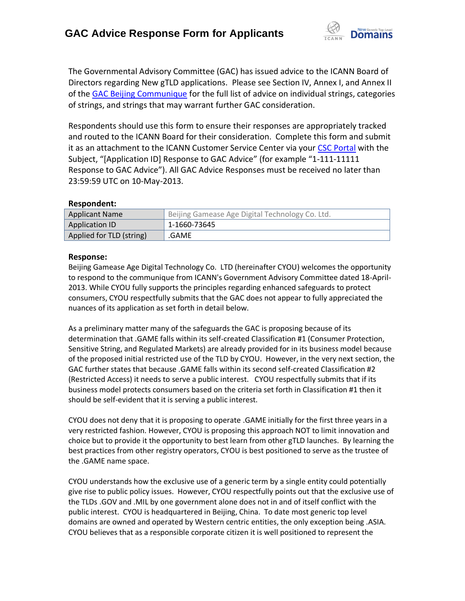

The Governmental Advisory Committee (GAC) has issued advice to the ICANN Board of Directors regarding New gTLD applications. Please see Section IV, Annex I, and Annex II of the [GAC Beijing Communique](http://www.icann.org/en/news/correspondence/gac-to-board-18apr13-en.pdf) for the full list of advice on individual strings, categories of strings, and strings that may warrant further GAC consideration.

Respondents should use this form to ensure their responses are appropriately tracked and routed to the ICANN Board for their consideration. Complete this form and submit it as an attachment to the ICANN Customer Service Center via your CSC [Portal](https://myicann.secure.force.com/) with the Subject, "[Application ID] Response to GAC Advice" (for example "1-111-11111 Response to GAC Advice"). All GAC Advice Responses must be received no later than 23:59:59 UTC on 10-May-2013.

## **Respondent:**

| <b>Applicant Name</b>    | Beijing Gamease Age Digital Technology Co. Ltd. |
|--------------------------|-------------------------------------------------|
| Application ID           | 1-1660-73645                                    |
| Applied for TLD (string) | .GAME                                           |

## **Response:**

Beijing Gamease Age Digital Technology Co. LTD (hereinafter CYOU) welcomes the opportunity to respond to the communique from ICANN's Government Advisory Committee dated 18-April-2013. While CYOU fully supports the principles regarding enhanced safeguards to protect consumers, CYOU respectfully submits that the GAC does not appear to fully appreciated the nuances of its application as set forth in detail below.

As a preliminary matter many of the safeguards the GAC is proposing because of its determination that .GAME falls within its self-created Classification #1 (Consumer Protection, Sensitive String, and Regulated Markets) are already provided for in its business model because of the proposed initial restricted use of the TLD by CYOU. However, in the very next section, the GAC further states that because .GAME falls within its second self-created Classification #2 (Restricted Access) it needs to serve a public interest. CYOU respectfully submits that if its business model protects consumers based on the criteria set forth in Classification #1 then it should be self-evident that it is serving a public interest.

CYOU does not deny that it is proposing to operate .GAME initially for the first three years in a very restricted fashion. However, CYOU is proposing this approach NOT to limit innovation and choice but to provide it the opportunity to best learn from other gTLD launches. By learning the best practices from other registry operators, CYOU is best positioned to serve as the trustee of the .GAME name space.

CYOU understands how the exclusive use of a generic term by a single entity could potentially give rise to public policy issues. However, CYOU respectfully points out that the exclusive use of the TLDs .GOV and .MIL by one government alone does not in and of itself conflict with the public interest. CYOU is headquartered in Beijing, China. To date most generic top level domains are owned and operated by Western centric entities, the only exception being .ASIA. CYOU believes that as a responsible corporate citizen it is well positioned to represent the